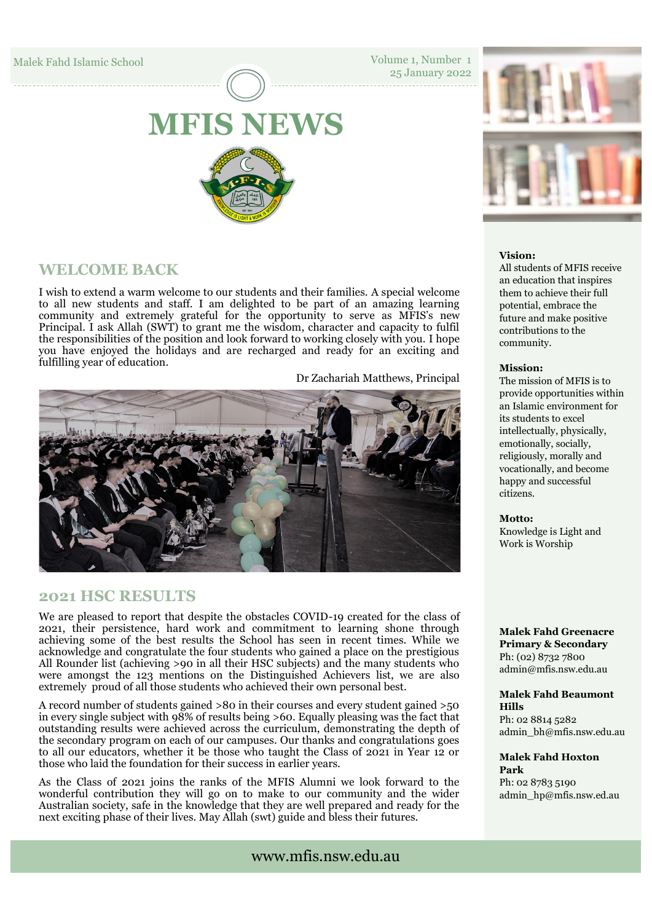Volume 1, Number 1 25 January 2022

# **MFIS NEWS**

# **WELCOME BACK**

I wish to extend a warm welcome to our students and their families. A special welcome to all new students and staff. I am delighted to be part of an amazing learning community and extremely grateful for the opportunity to serve as MFIS's new Principal. I ask Allah (SWT) to grant me the wisdom, character and capacity to fulfil the responsibilities of the position and look forward to working closely with you. I hope you have enjoyed the holidays and are recharged and ready for an exciting and fulfilling year of education.

Dr Zachariah Matthews, Principal



# **2021 HSC RESULTS**

We are pleased to report that despite the obstacles COVID-19 created for the class of 2021, their persistence, hard work and commitment to learning shone through achieving some of the best results the School has seen in recent times. While we acknowledge and congratulate the four students who gained a place on the prestigious All Rounder list (achieving >90 in all their HSC subjects) and the many students who were amongst the 123 mentions on the Distinguished Achievers list, we are also extremely proud of all those students who achieved their own personal best.

A record number of students gained >80 in their courses and every student gained >50 in every single subject with 98% of results being >60. Equally pleasing was the fact that outstanding results were achieved across the curriculum, demonstrating the depth of the secondary program on each of our campuses. Our thanks and congratulations goes to all our educators, whether it be those who taught the Class of 2021 in Year 12 or those who laid the foundation for their success in earlier years.

As the Class of 2021 joins the ranks of the MFIS Alumni we look forward to the wonderful contribution they will go on to make to our community and the wider Australian society, safe in the knowledge that they are well prepared and ready for the next exciting phase of their lives. May Allah (swt) guide and bless their futures.



## **Vision:**

All students of MFIS receive an education that inspires them to achieve their full potential, embrace the future and make positive contributions to the community.

#### **Mission:**

The mission of MFIS is to provide opportunities within an Islamic environment for its students to excel intellectually, physically, emotionally, socially, religiously, morally and vocationally, and become happy and successful citizens.

#### **Motto:**

Knowledge is Light and Work is Worship

**Malek Fahd Greenacre Primary & Secondary** Ph: (02) 8732 7800 admin@mfis.nsw.edu.au

#### **Malek Fahd Beaumont Hills**

Ph: 02 8814 5282 admin\_bh@mfis.nsw.edu.au

**Malek Fahd Hoxton Park** 

Ph: 02 8783 5190 admin\_hp@mfis.nsw.ed.au

www.mfis.nsw.edu.au